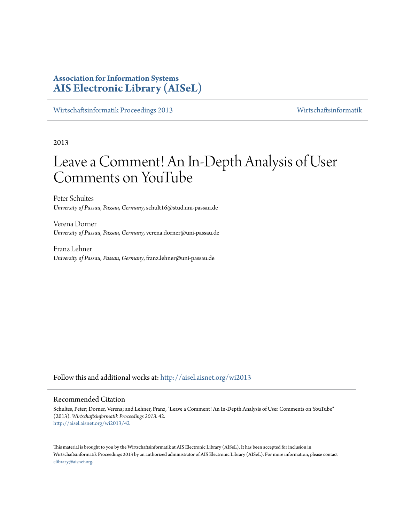# **Association for Information Systems [AIS Electronic Library \(AISeL\)](http://aisel.aisnet.org?utm_source=aisel.aisnet.org%2Fwi2013%2F42&utm_medium=PDF&utm_campaign=PDFCoverPages)**

[Wirtschaftsinformatik Proceedings 2013](http://aisel.aisnet.org/wi2013?utm_source=aisel.aisnet.org%2Fwi2013%2F42&utm_medium=PDF&utm_campaign=PDFCoverPages) [Wirtschaftsinformatik](http://aisel.aisnet.org/wi?utm_source=aisel.aisnet.org%2Fwi2013%2F42&utm_medium=PDF&utm_campaign=PDFCoverPages)

2013

# Leave a Comment! An In-Depth Analysis of User Comments on YouTube

Peter Schultes *University of Passau, Passau, Germany*, schult16@stud.uni-passau.de

Verena Dorner *University of Passau, Passau, Germany*, verena.dorner@uni-passau.de

Franz Lehner *University of Passau, Passau, Germany*, franz.lehner@uni-passau.de

Follow this and additional works at: [http://aisel.aisnet.org/wi2013](http://aisel.aisnet.org/wi2013?utm_source=aisel.aisnet.org%2Fwi2013%2F42&utm_medium=PDF&utm_campaign=PDFCoverPages)

#### Recommended Citation

Schultes, Peter; Dorner, Verena; and Lehner, Franz, "Leave a Comment! An In-Depth Analysis of User Comments on YouTube" (2013). *Wirtschaftsinformatik Proceedings 2013*. 42. [http://aisel.aisnet.org/wi2013/42](http://aisel.aisnet.org/wi2013/42?utm_source=aisel.aisnet.org%2Fwi2013%2F42&utm_medium=PDF&utm_campaign=PDFCoverPages)

This material is brought to you by the Wirtschaftsinformatik at AIS Electronic Library (AISeL). It has been accepted for inclusion in Wirtschaftsinformatik Proceedings 2013 by an authorized administrator of AIS Electronic Library (AISeL). For more information, please contact [elibrary@aisnet.org.](mailto:elibrary@aisnet.org%3E)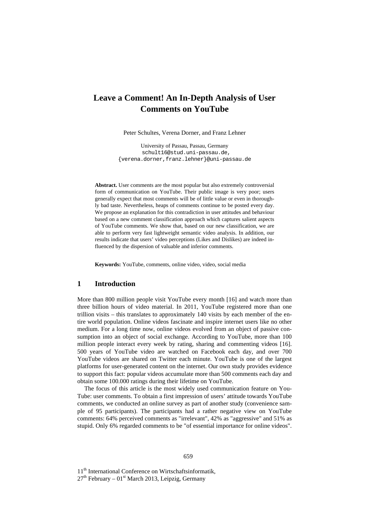# **Leave a Comment! An In-Depth Analysis of User Comments on YouTube**

Peter Schultes, Verena Dorner, and Franz Lehner

University of Passau, Passau, Germany schult16@stud.uni-passau.de, {verena.dorner,franz.lehner}@uni-passau.de

**Abstract.** User comments are the most popular but also extremely controversial form of communication on YouTube. Their public image is very poor; users generally expect that most comments will be of little value or even in thoroughly bad taste. Nevertheless, heaps of comments continue to be posted every day. We propose an explanation for this contradiction in user attitudes and behaviour based on a new comment classification approach which captures salient aspects of YouTube comments. We show that, based on our new classification, we are able to perform very fast lightweight semantic video analysis. In addition, our results indicate that users' video perceptions (Likes and Dislikes) are indeed influenced by the dispersion of valuable and inferior comments.

**Keywords:** YouTube, comments, online video, video, social media

#### **1 Introduction**

More than 800 million people visit YouTube every month [16] and watch more than three billion hours of video material. In 2011, YouTube registered more than one trillion visits – this translates to approximately 140 visits by each member of the entire world population. Online videos fascinate and inspire internet users like no other medium. For a long time now, online videos evolved from an object of passive consumption into an object of social exchange. According to YouTube, more than 100 million people interact every week by rating, sharing and commenting videos [16]. 500 years of YouTube video are watched on Facebook each day, and over 700 YouTube videos are shared on Twitter each minute. YouTube is one of the largest platforms for user-generated content on the internet. Our own study provides evidence to support this fact: popular videos accumulate more than 500 comments each day and obtain some 100.000 ratings during their lifetime on YouTube.

The focus of this article is the most widely used communication feature on You-Tube: user comments. To obtain a first impression of users' attitude towards YouTube comments, we conducted an online survey as part of another study (convenience sample of 95 participants). The participants had a rather negative view on YouTube comments: 64% perceived comments as "irrelevant", 42% as "aggressive" and 51% as stupid. Only 6% regarded comments to be "of essential importance for online videos".

11<sup>th</sup> International Conference on Wirtschaftsinformatik,

 $27<sup>th</sup>$  February – 01<sup>st</sup> March 2013, Leipzig, Germany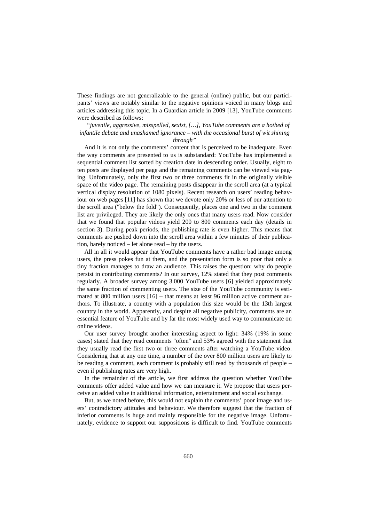These findings are not generalizable to the general (online) public, but our participants' views are notably similar to the negative opinions voiced in many blogs and articles addressing this topic. In a Guardian article in 2009 [13], YouTube comments were described as follows:

#### *"juvenile, aggressive, misspelled, sexist, […], YouTube comments are a hotbed of infantile debate and unashamed ignorance – with the occasional burst of wit shining through"*

And it is not only the comments' content that is perceived to be inadequate. Even the way comments are presented to us is substandard: YouTube has implemented a sequential comment list sorted by creation date in descending order. Usually, eight to ten posts are displayed per page and the remaining comments can be viewed via paging. Unfortunately, only the first two or three comments fit in the originally visible space of the video page. The remaining posts disappear in the scroll area (at a typical vertical display resolution of 1080 pixels). Recent research on users' reading behaviour on web pages [11] has shown that we devote only 20% or less of our attention to the scroll area ("below the fold"). Consequently, places one and two in the comment list are privileged. They are likely the only ones that many users read. Now consider that we found that popular videos yield 200 to 800 comments each day (details in section 3). During peak periods, the publishing rate is even higher. This means that comments are pushed down into the scroll area within a few minutes of their publication, barely noticed – let alone read – by the users.

All in all it would appear that YouTube comments have a rather bad image among users, the press pokes fun at them, and the presentation form is so poor that only a tiny fraction manages to draw an audience. This raises the question: why do people persist in contributing comments? In our survey, 12% stated that they post comments regularly. A broader survey among 3.000 YouTube users [6] yielded approximately the same fraction of commenting users. The size of the YouTube community is estimated at 800 million users [16] – that means at least 96 million active comment authors. To illustrate, a country with a population this size would be the 13th largest country in the world. Apparently, and despite all negative publicity, comments are an essential feature of YouTube and by far the most widely used way to communicate on online videos.

Our user survey brought another interesting aspect to light: 34% (19% in some cases) stated that they read comments "often" and 53% agreed with the statement that they usually read the first two or three comments after watching a YouTube video. Considering that at any one time, a number of the over 800 million users are likely to be reading a comment, each comment is probably still read by thousands of people – even if publishing rates are very high.

In the remainder of the article, we first address the question whether YouTube comments offer added value and how we can measure it. We propose that users perceive an added value in additional information, entertainment and social exchange.

But, as we noted before, this would not explain the comments' poor image and users' contradictory attitudes and behaviour. We therefore suggest that the fraction of inferior comments is huge and mainly responsible for the negative image. Unfortunately, evidence to support our suppositions is difficult to find. YouTube comments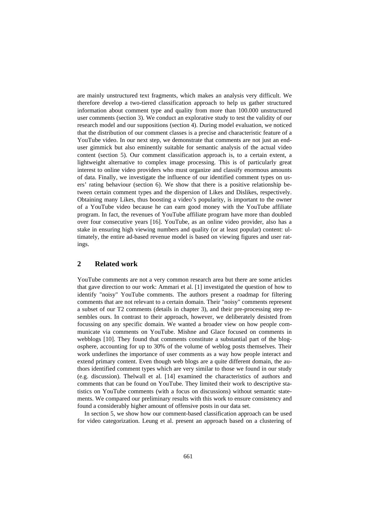are mainly unstructured text fragments, which makes an analysis very difficult. We therefore develop a two-tiered classification approach to help us gather structured information about comment type and quality from more than 100.000 unstructured user comments (section 3). We conduct an explorative study to test the validity of our research model and our suppositions (section 4). During model evaluation, we noticed that the distribution of our comment classes is a precise and characteristic feature of a YouTube video. In our next step, we demonstrate that comments are not just an enduser gimmick but also eminently suitable for semantic analysis of the actual video content (section 5). Our comment classification approach is, to a certain extent, a lightweight alternative to complex image processing. This is of particularly great interest to online video providers who must organize and classify enormous amounts of data. Finally, we investigate the influence of our identified comment types on users' rating behaviour (section 6). We show that there is a positive relationship between certain comment types and the dispersion of Likes and Dislikes, respectively. Obtaining many Likes, thus boosting a video's popularity, is important to the owner of a YouTube video because he can earn good money with the YouTube affiliate program. In fact, the revenues of YouTube affiliate program have more than doubled over four consecutive years [16]. YouTube, as an online video provider, also has a stake in ensuring high viewing numbers and quality (or at least popular) content: ultimately, the entire ad-based revenue model is based on viewing figures and user ratings.

### **2 Related work**

YouTube comments are not a very common research area but there are some articles that gave direction to our work: Ammari et al. [1] investigated the question of how to identify "noisy" YouTube comments. The authors present a roadmap for filtering comments that are not relevant to a certain domain. Their "noisy" comments represent a subset of our T2 comments (details in chapter 3), and their pre-processing step resembles ours. In contrast to their approach, however, we deliberately desisted from focussing on any specific domain. We wanted a broader view on how people communicate via comments on YouTube. Mishne and Glace focused on comments in webblogs [10]. They found that comments constitute a substantial part of the blogosphere, accounting for up to 30% of the volume of weblog posts themselves. Their work underlines the importance of user comments as a way how people interact and extend primary content. Even though web blogs are a quite different domain, the authors identified comment types which are very similar to those we found in our study (e.g. discussion). Thelwall et al. [14] examined the characteristics of authors and comments that can be found on YouTube. They limited their work to descriptive statistics on YouTube comments (with a focus on discussions) without semantic statements. We compared our preliminary results with this work to ensure consistency and found a considerably higher amount of offensive posts in our data set.

In section 5, we show how our comment-based classification approach can be used for video categorization. Leung et al. present an approach based on a clustering of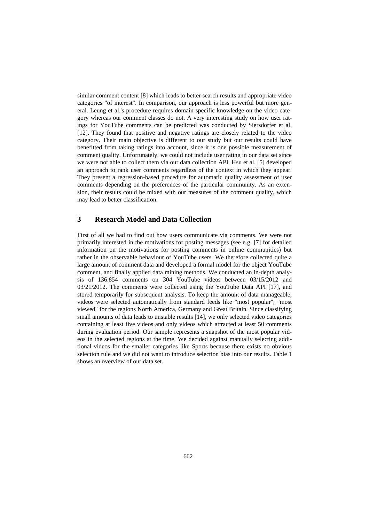similar comment content [8] which leads to better search results and appropriate video categories "of interest". In comparison, our approach is less powerful but more general. Leung et al.'s procedure requires domain specific knowledge on the video category whereas our comment classes do not. A very interesting study on how user ratings for YouTube comments can be predicted was conducted by Siersdorfer et al. [12]. They found that positive and negative ratings are closely related to the video category. Their main objective is different to our study but our results could have benefitted from taking ratings into account, since it is one possible measurement of comment quality. Unfortunately, we could not include user rating in our data set since we were not able to collect them via our data collection API. Hsu et al. [5] developed an approach to rank user comments regardless of the context in which they appear. They present a regression-based procedure for automatic quality assessment of user comments depending on the preferences of the particular community. As an extension, their results could be mixed with our measures of the comment quality, which may lead to better classification.

#### **3 Research Model and Data Collection**

First of all we had to find out how users communicate via comments. We were not primarily interested in the motivations for posting messages (see e.g. [7] for detailed information on the motivations for posting comments in online communities) but rather in the observable behaviour of YouTube users. We therefore collected quite a large amount of comment data and developed a formal model for the object YouTube comment, and finally applied data mining methods. We conducted an in-depth analysis of 136.854 comments on 304 YouTube videos between 03/15/2012 and 03/21/2012. The comments were collected using the YouTube Data API [17], and stored temporarily for subsequent analysis. To keep the amount of data manageable, videos were selected automatically from standard feeds like "most popular", "most viewed" for the regions North America, Germany and Great Britain. Since classifying small amounts of data leads to unstable results [14], we only selected video categories containing at least five videos and only videos which attracted at least 50 comments during evaluation period. Our sample represents a snapshot of the most popular videos in the selected regions at the time. We decided against manually selecting additional videos for the smaller categories like Sports because there exists no obvious selection rule and we did not want to introduce selection bias into our results. Table 1 shows an overview of our data set.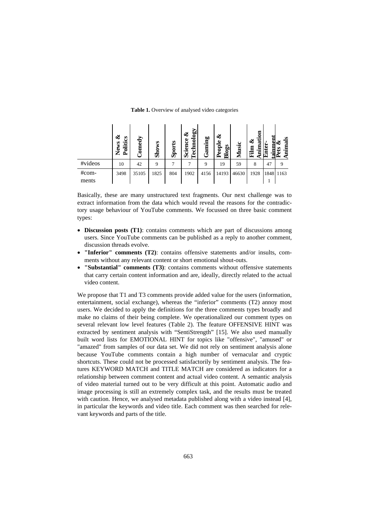|                | త<br>S<br>ews<br>Politi<br>Ž | $\mathbf{\hat{q}}$ | <b>SM</b><br>ಕೆ | ≌<br>Spon | မ္ဘီ<br>త<br><b>Science</b><br>ਠ<br>톱 | ing<br>ឡ<br>也 | త<br>People<br>Blogs | Music | ទី<br>త<br>Ę<br>Е<br>沪<br>Е | <b>nter</b><br>٢T<br>œ | ನ<br>ख⊗<br>nim |
|----------------|------------------------------|--------------------|-----------------|-----------|---------------------------------------|---------------|----------------------|-------|-----------------------------|------------------------|----------------|
| #videos        | 10                           | 42                 | 9               |           |                                       | 9             | 19                   | 59    | 8                           | 47                     | 9              |
| #com-<br>ments | 3498                         | 35105              | 1825            | 804       | 1902                                  | 4156          | 14193                | 46630 | 1928                        |                        | 1848 1163      |

**Table 1.** Overview of analysed video categories

Basically, these are many unstructured text fragments. Our next challenge was to extract information from the data which would reveal the reasons for the contradictory usage behaviour of YouTube comments. We focussed on three basic comment types:

- **Discussion posts (T1)**: contains comments which are part of discussions among users. Since YouTube comments can be published as a reply to another comment, discussion threads evolve.
- **"Inferior" comments (T2)**: contains offensive statements and/or insults, comments without any relevant content or short emotional shout-outs.
- **"Substantial" comments (T3)**: contains comments without offensive statements that carry certain content information and are, ideally, directly related to the actual video content.

We propose that T1 and T3 comments provide added value for the users (information, entertainment, social exchange), whereas the "inferior" comments (T2) annoy most users. We decided to apply the definitions for the three comments types broadly and make no claims of their being complete. We operationalized our comment types on several relevant low level features (Table 2). The feature OFFENSIVE HINT was extracted by sentiment analysis with "SentiStrength" [15]. We also used manually built word lists for EMOTIONAL HINT for topics like "offensive", "amused" or "amazed" from samples of our data set. We did not rely on sentiment analysis alone because YouTube comments contain a high number of vernacular and cryptic shortcuts. These could not be processed satisfactorily by sentiment analysis. The features KEYWORD MATCH and TITLE MATCH are considered as indicators for a relationship between comment content and actual video content. A semantic analysis of video material turned out to be very difficult at this point. Automatic audio and image processing is still an extremely complex task, and the results must be treated with caution. Hence, we analysed metadata published along with a video instead [4], in particular the keywords and video title. Each comment was then searched for relevant keywords and parts of the title.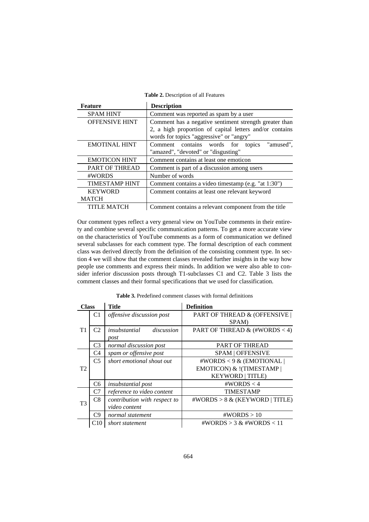|  |  | Table 2. Description of all Features |
|--|--|--------------------------------------|
|--|--|--------------------------------------|

| <b>Feature</b>                                                | <b>Description</b>                                                                                                                                            |  |  |  |  |  |  |  |  |
|---------------------------------------------------------------|---------------------------------------------------------------------------------------------------------------------------------------------------------------|--|--|--|--|--|--|--|--|
| <b>SPAM HINT</b>                                              | Comment was reported as spam by a user                                                                                                                        |  |  |  |  |  |  |  |  |
| <b>OFFENSIVE HINT</b>                                         | Comment has a negative sentiment strength greater than<br>2, a high proportion of capital letters and/or contains<br>words for topics "aggressive" or "angry" |  |  |  |  |  |  |  |  |
| <b>EMOTINAL HINT</b>                                          | "amused",<br>Comment contains words for<br>topics<br>"amazed", "devoted" or "disgusting"                                                                      |  |  |  |  |  |  |  |  |
| <b>EMOTICON HINT</b>                                          | Comment contains at least one emoticon                                                                                                                        |  |  |  |  |  |  |  |  |
| PART OF THREAD<br>Comment is part of a discussion among users |                                                                                                                                                               |  |  |  |  |  |  |  |  |
| #WORDS                                                        | Number of words                                                                                                                                               |  |  |  |  |  |  |  |  |
| <b>TIMESTAMP HINT</b>                                         | Comment contains a video timestamp (e.g. "at 1:30")                                                                                                           |  |  |  |  |  |  |  |  |
| <b>KEYWORD</b>                                                | Comment contains at least one relevant keyword                                                                                                                |  |  |  |  |  |  |  |  |
| <b>MATCH</b>                                                  |                                                                                                                                                               |  |  |  |  |  |  |  |  |
| <b>TITLE MATCH</b>                                            | Comment contains a relevant component from the title                                                                                                          |  |  |  |  |  |  |  |  |

Our comment types reflect a very general view on YouTube comments in their entirety and combine several specific communication patterns. To get a more accurate view on the characteristics of YouTube comments as a form of communication we defined several subclasses for each comment type. The formal description of each comment class was derived directly from the definition of the consisting comment type. In section 4 we will show that the comment classes revealed further insights in the way how people use comments and express their minds. In addition we were also able to consider inferior discussion posts through T1-subclasses C1 and C2. Table 3 lists the comment classes and their formal specifications that we used for classification.

**Class Title Definition** T1 C1 *offensive discussion post* PART OF THREAD & (OFFENSIVE | SPAM) C2 *insubstantial discussion post* PART OF THREAD & (#WORDS < 4) C3 *normal discussion post* PART OF THREAD T2 C4 *spam or offensive post* SPAM | OFFENSIVE C5 *short emotional shout out* #WORDS < 9 & (EMOTIONAL) EMOTICON) & !(TIMESTAMP | KEYWORD | TITLE) C6 *insubstantial post* #WORDS < 4 T3 C7 *reference to video content* TIMESTAMP C8 *contribution with respect to video content* #WORDS > 8 & (KEYWORD | TITLE) C9 *normal statement* #WORDS > 10 C10 *short statement* #WORDS > 3 & #WORDS < 11

**Table 3.** Predefined comment classes with formal definitions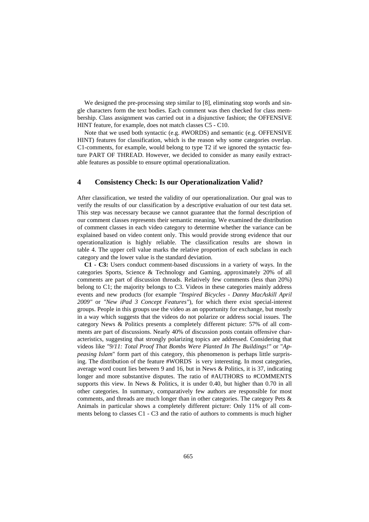We designed the pre-processing step similar to [8], eliminating stop words and single characters form the text bodies. Each comment was then checked for class membership. Class assignment was carried out in a disjunctive fashion; the OFFENSIVE HINT feature, for example, does not match classes C5 - C10.

Note that we used both syntactic (e.g. #WORDS) and semantic (e.g. OFFENSIVE HINT) features for classification, which is the reason why some categories overlap. C1-comments, for example, would belong to type T2 if we ignored the syntactic feature PART OF THREAD. However, we decided to consider as many easily extractable features as possible to ensure optimal operationalization.

## **4 Consistency Check: Is our Operationalization Valid?**

After classification, we tested the validity of our operationalization. Our goal was to verify the results of our classification by a descriptive evaluation of our test data set. This step was necessary because we cannot guarantee that the formal description of our comment classes represents their semantic meaning. We examined the distribution of comment classes in each video category to determine whether the variance can be explained based on video content only. This would provide strong evidence that our operationalization is highly reliable. The classification results are shown in table 4. The upper cell value marks the relative proportion of each subclass in each category and the lower value is the standard deviation.

**C1 - C3:** Users conduct comment-based discussions in a variety of ways. In the categories Sports, Science & Technology and Gaming, approximately 20% of all comments are part of discussion threads. Relatively few comments (less than 20%) belong to C1; the majority belongs to C3. Videos in these categories mainly address events and new products (for example *"Inspired Bicycles - Danny MacAskill April 2009"* or *"New iPad 3 Concept Features"*), for which there exist special-interest groups. People in this groups use the video as an opportunity for exchange, but mostly in a way which suggests that the videos do not polarize or address social issues. The category News & Politics presents a completely different picture: 57% of all comments are part of discussions. Nearly 40% of discussion posts contain offensive characteristics, suggesting that strongly polarizing topics are addressed. Considering that videos like *"9/11: Total Proof That Bombs Were Planted In The Buildings!"* or "*Appeasing Islam*" form part of this category, this phenomenon is perhaps little surprising. The distribution of the feature #WORDS is very interesting. In most categories, average word count lies between 9 and 16, but in News & Politics, it is 37, indicating longer and more substantive disputes. The ratio of #AUTHORS to #COMMENTS supports this view. In News & Politics, it is under 0.40, but higher than 0.70 in all other categories. In summary, comparatively few authors are responsible for most comments, and threads are much longer than in other categories. The category Pets & Animals in particular shows a completely different picture: Only 11% of all comments belong to classes C1 - C3 and the ratio of authors to comments is much higher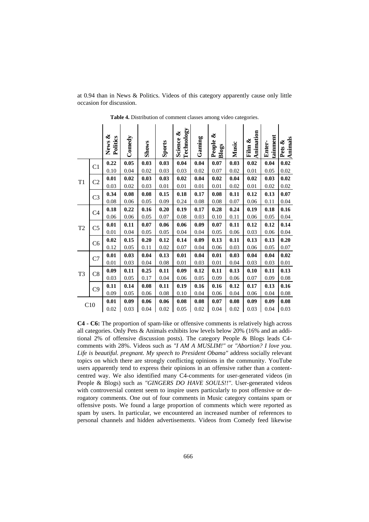|                                             |                | ళ<br>Politics<br>News | Comedy | <b>Shows</b> | <b>Sports</b> | Technology<br>ళ<br>Science | Gaming | ళ<br>People<br>Blogs | Music | Animation<br>ళ<br>Film | tainment<br>Enter- | Animals<br>ళ<br>Pets |
|---------------------------------------------|----------------|-----------------------|--------|--------------|---------------|----------------------------|--------|----------------------|-------|------------------------|--------------------|----------------------|
|                                             | C1             | 0.22                  | 0.05   | 0.03         | 0.03          | 0.04                       | 0.04   | 0.07                 | 0.03  | 0.02                   | 0.04               | 0.02                 |
|                                             |                | 0.10                  | 0.04   | 0.02         | 0.03          | 0.03                       | 0.02   | 0.07                 | 0.02  | 0.01                   | 0.05               | 0.02                 |
| T1                                          | C2             | 0.01                  | 0.02   | 0.03         | 0.03          | 0.02                       | 0.04   | 0.02                 | 0.04  | 0.02                   | 0.03               | 0.02                 |
|                                             |                | 0.03                  | 0.02   | 0.03         | 0.01          | 0.01                       | 0.01   | 0.01                 | 0.02  | 0.01                   | 0.02               | 0.02                 |
|                                             | C <sub>3</sub> | 0.34                  | 0.08   | 0.08         | 0.15          | 0.18                       | 0.17   | 0.08                 | 0.11  | 0.12                   | 0.13               | 0.07                 |
|                                             |                | 0.08                  | 0.06   | 0.05         | 0.09          | 0.24                       | 0.08   | 0.08                 | 0.07  | 0.06                   | 0.11               | 0.04                 |
| C4                                          |                | 0.18                  | 0.22   | 0.16         | 0.20          | 0.19                       | 0.17   | 0.28                 | 0.24  | 0.19                   | 0.18               | 0.16                 |
|                                             |                | 0.06                  | 0.06   | 0.05         | 0.07          | 0.08                       | 0.03   | 0.10                 | 0.11  | 0.06                   | 0.05               | 0.04                 |
|                                             |                | 0.01                  | 0.11   | 0.07         | 0.06          | 0.06                       | 0.09   | 0.07                 | 0.11  | 0.12                   | 0.12               | 0.14                 |
| T2                                          | C5             | 0.01                  | 0.04   | 0.05         | 0.05          | 0.04                       | 0.04   | 0.05                 | 0.06  | 0.03                   | 0.06               | 0.04                 |
|                                             |                | 0.02                  | 0.15   | 0.20         | 0.12          | 0.14                       | 0.09   | 0.13                 | 0.11  | 0.13                   | 0.13               | 0.20                 |
|                                             | C6             | 0.12                  | 0.05   | 0.11         | 0.02          | 0.07                       | 0.04   | 0.06                 | 0.03  | 0.06                   | 0.05               | 0.07                 |
| $\overline{\rm C7}$<br>T <sub>3</sub><br>C8 |                | 0.01                  | 0.03   | 0.04         | 0.13          | 0.01                       | 0.04   | 0.01                 | 0.03  | 0.04                   | 0.04               | 0.02                 |
|                                             |                | 0.01                  | 0.03   | 0.04         | 0.08          | 0.01                       | 0.03   | 0.01                 | 0.04  | 0.03                   | 0.03               | 0.01                 |
|                                             |                | 0.09                  | 0.11   | 0.25         | 0.11          | 0.09                       | 0.12   | 0.11                 | 0.13  | 0.10                   | 0.11               | 0.13                 |
|                                             |                | 0.03                  | 0.05   | 0.17         | 0.04          | 0.06                       | 0.05   | 0.09                 | 0.06  | 0.07                   | 0.09               | 0.08                 |
|                                             |                | 0.11                  | 0.14   | 0.08         | 0.11          | 0.19                       | 0.16   | 0.16                 | 0.12  | 0.17                   | 0.13               | 0.16                 |
|                                             | C9             | 0.09                  | 0.05   | 0.06         | 0.08          | 0.10                       | 0.04   | 0.06                 | 0.04  | 0.06                   | 0.04               | 0.08                 |
|                                             |                | 0.01                  | 0.09   | 0.06         | 0.06          | 0.08                       | 0.08   | 0.07                 | 0.08  | 0.09                   | 0.09               | 0.08                 |
| C10                                         | 0.02           | 0.03                  | 0.04   | 0.02         | 0.05          | 0.02                       | 0.04   | 0.02                 | 0.03  | 0.04                   | 0.03               |                      |

**Table 4.** Distribution of comment classes among video categories.

at 0.94 than in News & Politics. Videos of this category apparently cause only little

occasion for discussion.

**C4 - C6:** The proportion of spam-like or offensive comments is relatively high across all categories. Only Pets & Animals exhibits low levels below 20% (16% and an additional 2% of offensive discussion posts). The category People & Blogs leads C4 comments with 28%. Videos such as *"I AM A MUSLIM!"* or *"Abortion? I love you. Life is beautiful. pregnant. My speech to President Obama"* address socially relevant topics on which there are strongly conflicting opinions in the community. YouTube users apparently tend to express their opinions in an offensive rather than a contentcentred way. We also identified many C4-comments for user-generated videos (in People & Blogs) such as *"GINGERS DO HAVE SOULS!!"*. User-generated videos with controversial content seem to inspire users particularly to post offensive or derogatory comments. One out of four comments in Music category contains spam or offensive posts. We found a large proportion of comments which were reported as spam by users. In particular, we encountered an increased number of references to personal channels and hidden advertisements. Videos from Comedy feed likewise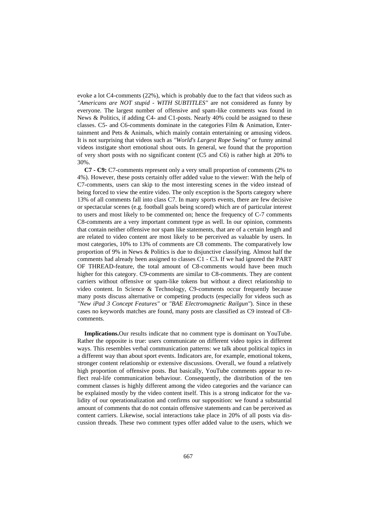evoke a lot C4-comments (22%), which is probably due to the fact that videos such as *"Americans are NOT stupid - WITH SUBTITLES"* are not considered as funny by everyone. The largest number of offensive and spam-like comments was found in News & Politics, if adding C4- and C1-posts. Nearly 40% could be assigned to these classes. C5- and C6-comments dominate in the categories Film & Animation, Entertainment and Pets & Animals, which mainly contain entertaining or amusing videos. It is not surprising that videos such as *"World's Largest Rope Swing"* or funny animal videos instigate short emotional shout outs. In general, we found that the proportion of very short posts with no significant content (C5 and C6) is rather high at 20% to 30%.

**C7 - C9:** C7-comments represent only a very small proportion of comments (2% to 4%). However, these posts certainly offer added value to the viewer: With the help of C7-comments, users can skip to the most interesting scenes in the video instead of being forced to view the entire video. The only exception is the Sports category where 13% of all comments fall into class C7. In many sports events, there are few decisive or spectacular scenes (e.g. football goals being scored) which are of particular interest to users and most likely to be commented on; hence the frequency of C-7 comments C8-comments are a very important comment type as well. In our opinion, comments that contain neither offensive nor spam like statements, that are of a certain length and are related to video content are most likely to be perceived as valuable by users. In most categories, 10% to 13% of comments are C8 comments. The comparatively low proportion of 9% in News & Politics is due to disjunctive classifying. Almost half the comments had already been assigned to classes C1 - C3. If we had ignored the PART OF THREAD-feature, the total amount of C8-comments would have been much higher for this category. C9-comments are similar to C8-comments. They are content carriers without offensive or spam-like tokens but without a direct relationship to video content. In Science & Technology, C9-comments occur frequently because many posts discuss alternative or competing products (especially for videos such as *"New iPad 3 Concept Features"* or *"BAE Electromagnetic Railgun"*). Since in these cases no keywords matches are found, many posts are classified as C9 instead of C8 comments.

**Implications.**Our results indicate that no comment type is dominant on YouTube. Rather the opposite is true: users communicate on different video topics in different ways. This resembles verbal communication patterns: we talk about political topics in a different way than about sport events. Indicators are, for example, emotional tokens, stronger content relationship or extensive discussions. Overall, we found a relatively high proportion of offensive posts. But basically, YouTube comments appear to reflect real-life communication behaviour. Consequently, the distribution of the ten comment classes is highly different among the video categories and the variance can be explained mostly by the video content itself. This is a strong indicator for the validity of our operationalization and confirms our supposition: we found a substantial amount of comments that do not contain offensive statements and can be perceived as content carriers. Likewise, social interactions take place in 20% of all posts via discussion threads. These two comment types offer added value to the users, which we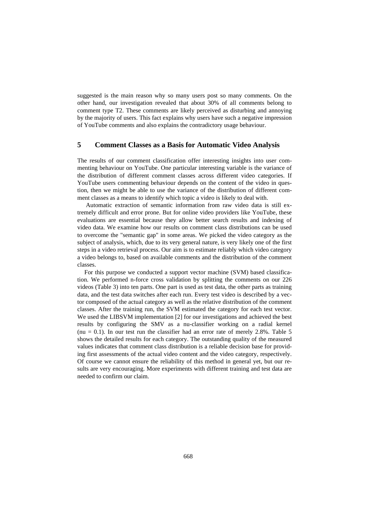suggested is the main reason why so many users post so many comments. On the other hand, our investigation revealed that about 30% of all comments belong to comment type T2. These comments are likely perceived as disturbing and annoying by the majority of users. This fact explains why users have such a negative impression of YouTube comments and also explains the contradictory usage behaviour.

#### **5 Comment Classes as a Basis for Automatic Video Analysis**

The results of our comment classification offer interesting insights into user commenting behaviour on YouTube. One particular interesting variable is the variance of the distribution of different comment classes across different video categories. If YouTube users commenting behaviour depends on the content of the video in question, then we might be able to use the variance of the distribution of different comment classes as a means to identify which topic a video is likely to deal with.

Automatic extraction of semantic information from raw video data is still extremely difficult and error prone. But for online video providers like YouTube, these evaluations are essential because they allow better search results and indexing of video data. We examine how our results on comment class distributions can be used to overcome the "semantic gap" in some areas. We picked the video category as the subject of analysis, which, due to its very general nature, is very likely one of the first steps in a video retrieval process. Our aim is to estimate reliably which video category a video belongs to, based on available comments and the distribution of the comment classes.

For this purpose we conducted a support vector machine (SVM) based classification. We performed n-force cross validation by splitting the comments on our 226 videos (Table 3) into ten parts. One part is used as test data, the other parts as training data, and the test data switches after each run. Every test video is described by a vector composed of the actual category as well as the relative distribution of the comment classes. After the training run, the SVM estimated the category for each test vector. We used the LIBSVM implementation [2] for our investigations and achieved the best results by configuring the SMV as a nu-classifier working on a radial kernel  $(nu = 0.1)$ . In our test run the classifier had an error rate of merely 2.8%. Table 5 shows the detailed results for each category. The outstanding quality of the measured values indicates that comment class distribution is a reliable decision base for providing first assessments of the actual video content and the video category, respectively. Of course we cannot ensure the reliability of this method in general yet, but our results are very encouraging. More experiments with different training and test data are needed to confirm our claim.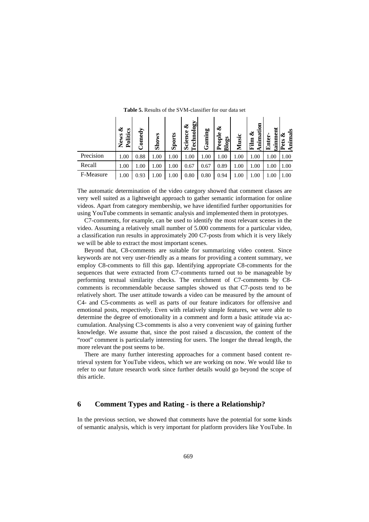|           | తక<br>B<br>ews<br>ίü<br>Z<br>௨ | 'omedy | <b>Shows</b> | S<br>Spor | $\Omega$ <sup>o</sup><br>త<br>Technolo<br>ပ္ပ<br>Scien | Gaming | త<br>People<br>Blogs | Music | త<br>ಡ<br>Film<br>Ė | tainment<br>Enter- | nimal<br>ಟ<br>ets<br>$\sim$ |
|-----------|--------------------------------|--------|--------------|-----------|--------------------------------------------------------|--------|----------------------|-------|---------------------|--------------------|-----------------------------|
| Precision | 1.00                           | 0.88   | 1.00         | 1.00      | 1.00                                                   | 1.00   | 1.00                 | 1.00  | 1.00                | 1.00               | 1.00                        |
| Recall    | 1.00                           | 1.00   | 1.00         | 1.00      | 0.67                                                   | 0.67   | 0.89                 | 1.00  | 1.00                | 1.00               | 1.00                        |
| F-Measure | 1.00                           | 0.93   | 1.00         | 1.00      | 0.80                                                   | 0.80   | 0.94                 | 1.00  | 1.00                | 1.00               | 1.00                        |

**Table 5.** Results of the SVM-classifier for our data set

 $\sim 10^{-11}$ 

 $\sim 10^{-1}$ 

 $\mathbf{r}$ 

 $\mathbf{r}$ 

 $\mathbf{I}$ 

**Contract Contract Contract Contract** 

 $\mathbf{r}$ 

 $\mathbf{L}$ 

 $\sim 10^{-1}$ 

The automatic determination of the video category showed that comment classes are very well suited as a lightweight approach to gather semantic information for online videos. Apart from category membership, we have identified further opportunities for using YouTube comments in semantic analysis and implemented them in prototypes.

C7-comments, for example, can be used to identify the most relevant scenes in the video. Assuming a relatively small number of 5.000 comments for a particular video, a classification run results in approximately 200 C7-posts from which it is very likely we will be able to extract the most important scenes.

Beyond that, C8-comments are suitable for summarizing video content. Since keywords are not very user-friendly as a means for providing a content summary, we employ C8-comments to fill this gap. Identifying appropriate C8-comments for the sequences that were extracted from C7-comments turned out to be manageable by performing textual similarity checks. The enrichment of C7-comments by C8 comments is recommendable because samples showed us that C7-posts tend to be relatively short. The user attitude towards a video can be measured by the amount of C4- and C5-comments as well as parts of our feature indicators for offensive and emotional posts, respectively. Even with relatively simple features, we were able to determine the degree of emotionality in a comment and form a basic attitude via accumulation. Analysing C3-comments is also a very convenient way of gaining further knowledge. We assume that, since the post raised a discussion, the content of the "root" comment is particularly interesting for users. The longer the thread length, the more relevant the post seems to be.

There are many further interesting approaches for a comment based content retrieval system for YouTube videos, which we are working on now. We would like to refer to our future research work since further details would go beyond the scope of this article.

## **6 Comment Types and Rating - is there a Relationship?**

In the previous section, we showed that comments have the potential for some kinds of semantic analysis, which is very important for platform providers like YouTube. In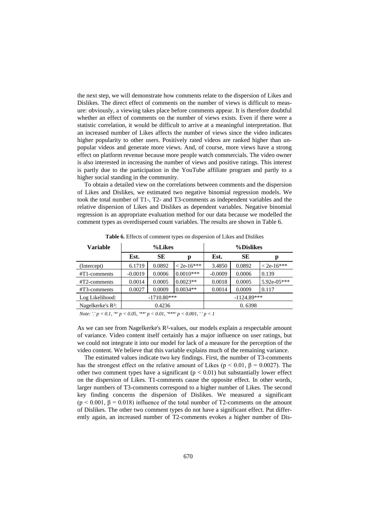the next step, we will demonstrate how comments relate to the dispersion of Likes and Dislikes. The direct effect of comments on the number of views is difficult to measure: obviously, a viewing takes place before comments appear. It is therefore doubtful whether an effect of comments on the number of views exists. Even if there were a statistic correlation, it would be difficult to arrive at a meaningful interpretation. But an increased number of Likes affects the number of views since the video indicates higher popularity to other users. Positively rated videos are ranked higher than unpopular videos and generate more views. And, of course, more views have a strong effect on platform revenue because more people watch commercials. The video owner is also interested in increasing the number of views and positive ratings. This interest is partly due to the participation in the YouTube affiliate program and partly to a higher social standing in the community.

To obtain a detailed view on the correlations between comments and the dispersion of Likes and Dislikes, we estimated two negative binomial regression models. We took the total number of T1-, T2- and T3-comments as independent variables and the relative dispersion of Likes and Dislikes as dependent variables. Negative binomial regression is an appropriate evaluation method for our data because we modelled the comment types as overdispersed count variables. The results are shown in Table 6.

| Variable                      |               | %Likes |              | %Dislikes     |        |              |  |  |
|-------------------------------|---------------|--------|--------------|---------------|--------|--------------|--|--|
|                               | Est.          | SE     | p            | Est.          | SE     | p            |  |  |
| (Intercept)                   | 6.1719        | 0.0892 | $<$ 2e-16*** | 3.4850        | 0.0892 | $< 2e-16***$ |  |  |
| $\text{\#T1-comments}$        | $-0.0019$     | 0.0006 | $0.0010***$  | $-0.0009$     | 0.0006 | 0.139        |  |  |
| $\text{\#T2-comments}$        | 0.0014        | 0.0005 | $0.0023**$   | 0.0018        | 0.0005 | 5.92e-05***  |  |  |
| $\text{\#T3-comments}$        | 0.0027        | 0.0009 | $0.0034**$   | 0.0014        | 0.0009 | 0.117        |  |  |
| Log Likelihood:               | $-1710.80***$ |        |              | $-1124.89***$ |        |              |  |  |
| Nagelkerke's R <sup>2</sup> : | 0.4236        |        |              | 0.6398        |        |              |  |  |

**Table 6.** Effects of comment types on dispersion of Likes and Dislikes

*Note: '.' p < 0.1, '\*' p < 0.05, '\*\*' p < 0.01, '\*\*\*' p < 0.001, ' ' p < 1*

As we can see from Nagelkerke's R²-values, our models explain a respectable amount of variance. Video content itself certainly has a major influence on user ratings, but we could not integrate it into our model for lack of a measure for the perception of the video content. We believe that this variable explains much of the remaining variance.

The estimated values indicate two key findings. First, the number of T3-comments has the strongest effect on the relative amount of Likes ( $p < 0.01$ ,  $\beta = 0.0027$ ). The other two comment types have a significant  $(p < 0.01)$  but substantially lower effect on the dispersion of Likes. T1-comments cause the opposite effect. In other words, larger numbers of T3-comments correspond to a higher number of Likes. The second key finding concerns the dispersion of Dislikes. We measured a significant ( $p < 0.001$ ,  $\beta = 0.018$ ) influence of the total number of T2-comments on the amount of Dislikes. The other two comment types do not have a significant effect. Put differently again, an increased number of T2-comments evokes a higher number of Dis-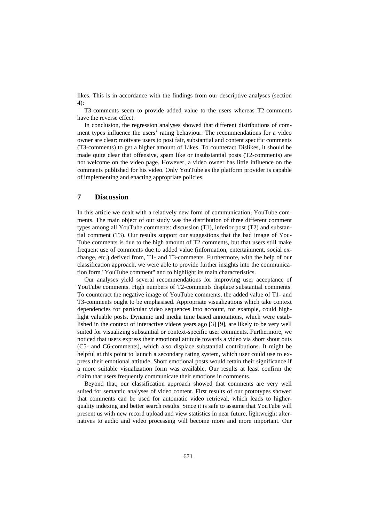likes. This is in accordance with the findings from our descriptive analyses (section 4):

T3-comments seem to provide added value to the users whereas T2-comments have the reverse effect.

In conclusion, the regression analyses showed that different distributions of comment types influence the users' rating behaviour. The recommendations for a video owner are clear: motivate users to post fair, substantial and content specific comments (T3-comments) to get a higher amount of Likes. To counteract Dislikes, it should be made quite clear that offensive, spam like or insubstantial posts (T2-comments) are not welcome on the video page. However, a video owner has little influence on the comments published for his video. Only YouTube as the platform provider is capable of implementing and enacting appropriate policies.

#### **7 Discussion**

In this article we dealt with a relatively new form of communication, YouTube comments. The main object of our study was the distribution of three different comment types among all YouTube comments: discussion (T1), inferior post (T2) and substantial comment (T3). Our results support our suggestions that the bad image of You-Tube comments is due to the high amount of T2 comments, but that users still make frequent use of comments due to added value (information, entertainment, social exchange, etc.) derived from, T1- and T3-comments. Furthermore, with the help of our classification approach, we were able to provide further insights into the communication form "YouTube comment" and to highlight its main characteristics.

Our analyses yield several recommendations for improving user acceptance of YouTube comments. High numbers of T2-comments displace substantial comments. To counteract the negative image of YouTube comments, the added value of T1- and T3-comments ought to be emphasised. Appropriate visualizations which take context dependencies for particular video sequences into account, for example, could highlight valuable posts. Dynamic and media time based annotations, which were established in the context of interactive videos years ago [3] [9], are likely to be very well suited for visualizing substantial or context-specific user comments. Furthermore, we noticed that users express their emotional attitude towards a video via short shout outs (C5- and C6-comments), which also displace substantial contributions. It might be helpful at this point to launch a secondary rating system, which user could use to express their emotional attitude. Short emotional posts would retain their significance if a more suitable visualization form was available. Our results at least confirm the claim that users frequently communicate their emotions in comments.

Beyond that, our classification approach showed that comments are very well suited for semantic analyses of video content. First results of our prototypes showed that comments can be used for automatic video retrieval, which leads to higherquality indexing and better search results. Since it is safe to assume that YouTube will present us with new record upload and view statistics in near future, lightweight alternatives to audio and video processing will become more and more important. Our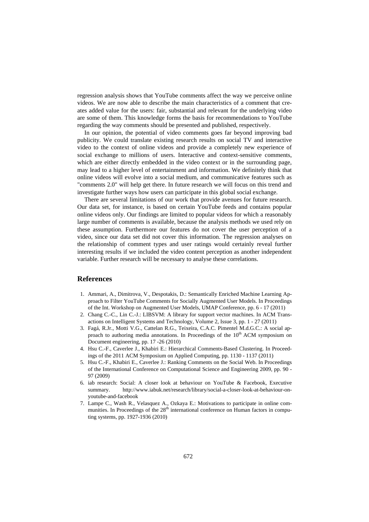regression analysis shows that YouTube comments affect the way we perceive online videos. We are now able to describe the main characteristics of a comment that creates added value for the users: fair, substantial and relevant for the underlying video are some of them. This knowledge forms the basis for recommendations to YouTube regarding the way comments should be presented and published, respectively.

In our opinion, the potential of video comments goes far beyond improving bad publicity. We could translate existing research results on social TV and interactive video to the context of online videos and provide a completely new experience of social exchange to millions of users. Interactive and context-sensitive comments, which are either directly embedded in the video context or in the surrounding page, may lead to a higher level of entertainment and information. We definitely think that online videos will evolve into a social medium, and communicative features such as "comments 2.0" will help get there. In future research we will focus on this trend and investigate further ways how users can participate in this global social exchange.

There are several limitations of our work that provide avenues for future research. Our data set, for instance, is based on certain YouTube feeds and contains popular online videos only. Our findings are limited to popular videos for which a reasonably large number of comments is available, because the analysis methods we used rely on these assumption. Furthermore our features do not cover the user perception of a video, since our data set did not cover this information. The regression analyses on the relationship of comment types and user ratings would certainly reveal further interesting results if we included the video content perception as another independent variable. Further research will be necessary to analyse these correlations.

#### **References**

- 1. Ammari, A., Dimitrova, V., Despotakis, D.: Semantically Enriched Machine Learning Approach to Filter YouTube Comments for Socially Augmented User Models. In Proceedings of the Int. Workshop on Augmented User Models, UMAP Conference, pp. 6 - 17 (2011)
- 2. Chang C.-C., Lin C.-J.: LIBSVM: A library for support vector machines. In ACM Transactions on Intelligent Systems and Technology, Volume 2, Issue 3, pp. 1 - 27 (2011)
- 3. Fagá, R.Jr., Motti V.G., Cattelan R.G., Teixeira, C.A.C. Pimentel M.d.G.C.: A social approach to authoring media annotations. In Proceedings of the  $10<sup>th</sup> ACM$  symposium on Document engineering, pp. 17 -26 (2010)
- 4. Hsu C.-F., Caverlee J., Khabiri E.: Hierarchical Comments-Based Clustering. In Proceedings of the 2011 ACM Symposium on Applied Computing, pp. 1130 - 1137 (2011)
- 5. Hsu C.-F., Khabiri E., Caverlee J.: Ranking Comments on the Social Web. In Proceedings of the International Conference on Computational Science and Engineering 2009, pp. 90 - 97 (2009)
- 6. iab research: Social: A closer look at behaviour on YouTube & Facebook, Executive summary. http://www.iabuk.net/research/library/social-a-closer-look-at-behaviour-onyoutube-and-facebook
- 7. Lampe C., Wash R., Velasquez A., Ozkaya E.: Motivations to participate in online communities. In Proceedings of the  $28<sup>th</sup>$  international conference on Human factors in computing systems, pp. 1927-1936 (2010)